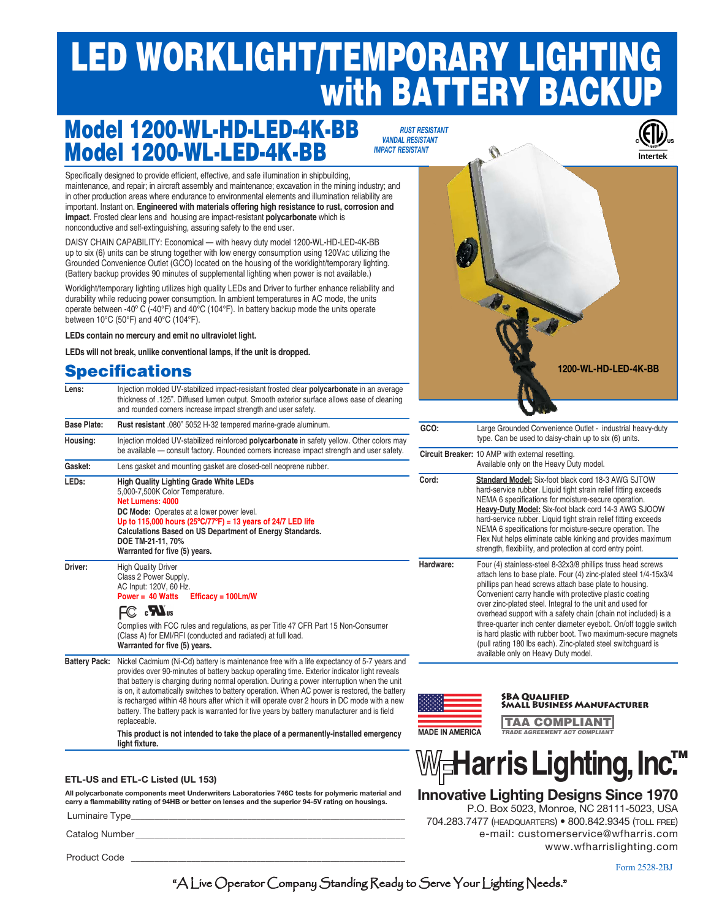# LED WORKLIGHT/TEMPORARY LIGHTING with BATTERY BACKUP

## Model 1200-WL-LED-4K-BB Model 1200-WL-HD-LED-4K-BB

 *rust resistant vandal resistant impact resistant*

Specifically designed to provide efficient, effective, and safe illumination in shipbuilding. maintenance, and repair; in aircraft assembly and maintenance; excavation in the mining industry; and in other production areas where endurance to environmental elements and illumination reliability are important. Instant on. **Engineered with materials offering high resistance to rust, corrosion and impact**. Frosted clear lens and housing are impact-resistant **polycarbonate** which is nonconductive and self-extinguishing, assuring safety to the end user.

DAISY CHAIN CAPABILITY: Economical — with heavy duty model 1200-WL-HD-LED-4K-BB up to six (6) units can be strung together with low energy consumption using 120Vac utilizing the Grounded Convenience Outlet (GCO) located on the housing of the worklight/temporary lighting. (Battery backup provides 90 minutes of supplemental lighting when power is not available.)

Worklight/temporary lighting utilizes high quality LEDs and Driver to further enhance reliability and durability while reducing power consumption. In ambient temperatures in AC mode, the units operate between -40º C (-40°F) and 40°C (104°F). In battery backup mode the units operate between 10°C (50°F) and 40°C (104°F).

**LEDs contain no mercury and emit no ultraviolet light.**

**LEDs will not break, unlike conventional lamps, if the unit is dropped.**

### **Specifications**

| Lens:                | Injection molded UV-stabilized impact-resistant frosted clear <b>polycarbonate</b> in an average<br>thickness of .125". Diffused lumen output. Smooth exterior surface allows ease of cleaning<br>and rounded corners increase impact strength and user safety.                                                                                                                                                                                                                                                                                                                        |
|----------------------|----------------------------------------------------------------------------------------------------------------------------------------------------------------------------------------------------------------------------------------------------------------------------------------------------------------------------------------------------------------------------------------------------------------------------------------------------------------------------------------------------------------------------------------------------------------------------------------|
| <b>Base Plate:</b>   | Rust resistant .080" 5052 H-32 tempered marine-grade aluminum.                                                                                                                                                                                                                                                                                                                                                                                                                                                                                                                         |
| Housing:             | Injection molded UV-stabilized reinforced <b>polycarbonate</b> in safety yellow. Other colors may<br>be available - consult factory. Rounded corners increase impact strength and user safety.                                                                                                                                                                                                                                                                                                                                                                                         |
| Gasket:              | Lens gasket and mounting gasket are closed-cell neoprene rubber.                                                                                                                                                                                                                                                                                                                                                                                                                                                                                                                       |
| LEDs:                | <b>High Quality Lighting Grade White LEDs</b><br>5,000-7,500K Color Temperature.<br>Net Lumens: 4000<br>DC Mode: Operates at a lower power level.<br>Up to 115,000 hours (25°C/77°F) = 13 years of 24/7 LED life<br>Calculations Based on US Department of Energy Standards.<br>DOE TM-21-11, 70%<br>Warranted for five (5) years.                                                                                                                                                                                                                                                     |
| Driver:              | <b>High Quality Driver</b><br>Class 2 Power Supply.<br>AC Input: 120V, 60 Hz.<br>Power = $40$ Watts<br>$Efficacy = 100Lm/W$<br>FC <b>EN</b> <sub>us</sub><br>Complies with FCC rules and regulations, as per Title 47 CFR Part 15 Non-Consumer<br>(Class A) for EMI/RFI (conducted and radiated) at full load.<br>Warranted for five (5) years.                                                                                                                                                                                                                                        |
| <b>Battery Pack:</b> | Nickel Cadmium (Ni-Cd) battery is maintenance free with a life expectancy of 5-7 years and<br>provides over 90-minutes of battery backup operating time. Exterior indicator light reveals<br>that battery is charging during normal operation. During a power interruption when the unit<br>is on, it automatically switches to battery operation. When AC power is restored, the battery<br>is recharged within 48 hours after which it will operate over 2 hours in DC mode with a new<br>battery. The battery pack is warranted for five years by battery manufacturer and is field |

# Large Grounded Convenience Outlet - industrial heavy-duty type. Can be used to daisy-chain up to six (6) units. **Circuit Breaker:** 10 AMP with external resetting. Available only on the Heavy Duty model. **Standard Model:** Six-foot black cord 18-3 AWG SJTOW hard-service rubber. Liquid tight strain relief fitting exceeds NEMA 6 specifications for moisture-secure operation. **1200-WL-HD-LED-4K-BB**

**Heavy-Duty Model:** Six-foot black cord 14-3 AWG SJOOW hard-service rubber. Liquid tight strain relief fitting exceeds NEMA 6 specifications for moisture-secure operation. The Flex Nut helps eliminate cable kinking and provides maximum strength, flexibility, and protection at cord entry point. ware: Four (4) stainless-steel 8-32x3/8 phillips truss head screws attach lens to base plate. Four (4) zinc-plated steel 1/4-15x3/4 phillips pan head screws attach base plate to housing. Convenient carry handle with protective plastic coating

over zinc-plated steel. Integral to the unit and used for overhead support with a safety chain (chain not included) is a three-quarter inch center diameter eyebolt. On/off toggle switch is hard plastic with rubber boot. Two maximum-secure magnets (pull rating 180 lbs each). Zinc-plated steel switchguard is available only on Heavy Duty model.



#### SBA Qualified Small Business Manufacturer

TAA COMPLIANT *TRADE AGREEMENT ACT COMPLIANT* 

**This product is not intended to take the place of a permanently-installed emergency light fixture.**

#### **ETL-US and ETL-C Listed (UL 153)**

replaceable.

**All polycarbonate components meet Underwriters Laboratories 746C tests for polymeric material and carry a flammability rating of 94HB or better on lenses and the superior 94-5V rating on housings.**

Luminaire Type

Catalog Number

Product Code

We**Harris Lighting, Inc.**™

#### **Innovative Lighting Designs Since 1970**

 P.O. Box 5023, Monroe, NC 28111-5023, USA 704.283.7477 (headquarters) • 800.842.9345 (toll free) e-mail: customerservice@wfharris.com www.wfharrislighting.com

Form 2528-2BJ

"A Live Operator Company Standing Ready to Serve Your Lighting Needs."